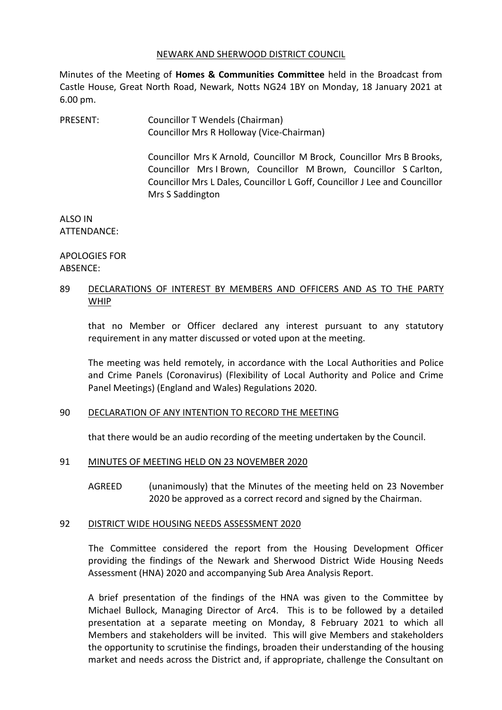#### NEWARK AND SHERWOOD DISTRICT COUNCIL

Minutes of the Meeting of **Homes & Communities Committee** held in the Broadcast from Castle House, Great North Road, Newark, Notts NG24 1BY on Monday, 18 January 2021 at 6.00 pm.

PRESENT: Councillor T Wendels (Chairman) Councillor Mrs R Holloway (Vice-Chairman)

> Councillor Mrs K Arnold, Councillor M Brock, Councillor Mrs B Brooks, Councillor Mrs I Brown, Councillor M Brown, Councillor S Carlton, Councillor Mrs L Dales, Councillor L Goff, Councillor J Lee and Councillor Mrs S Saddington

ALSO IN ATTENDANCE:

APOLOGIES FOR ABSENCE:

# 89 DECLARATIONS OF INTEREST BY MEMBERS AND OFFICERS AND AS TO THE PARTY WHIP

that no Member or Officer declared any interest pursuant to any statutory requirement in any matter discussed or voted upon at the meeting.

The meeting was held remotely, in accordance with the Local Authorities and Police and Crime Panels (Coronavirus) (Flexibility of Local Authority and Police and Crime Panel Meetings) (England and Wales) Regulations 2020.

# 90 DECLARATION OF ANY INTENTION TO RECORD THE MEETING

that there would be an audio recording of the meeting undertaken by the Council.

# 91 MINUTES OF MEETING HELD ON 23 NOVEMBER 2020

AGREED (unanimously) that the Minutes of the meeting held on 23 November 2020 be approved as a correct record and signed by the Chairman.

# 92 DISTRICT WIDE HOUSING NEEDS ASSESSMENT 2020

The Committee considered the report from the Housing Development Officer providing the findings of the Newark and Sherwood District Wide Housing Needs Assessment (HNA) 2020 and accompanying Sub Area Analysis Report.

A brief presentation of the findings of the HNA was given to the Committee by Michael Bullock, Managing Director of Arc4. This is to be followed by a detailed presentation at a separate meeting on Monday, 8 February 2021 to which all Members and stakeholders will be invited. This will give Members and stakeholders the opportunity to scrutinise the findings, broaden their understanding of the housing market and needs across the District and, if appropriate, challenge the Consultant on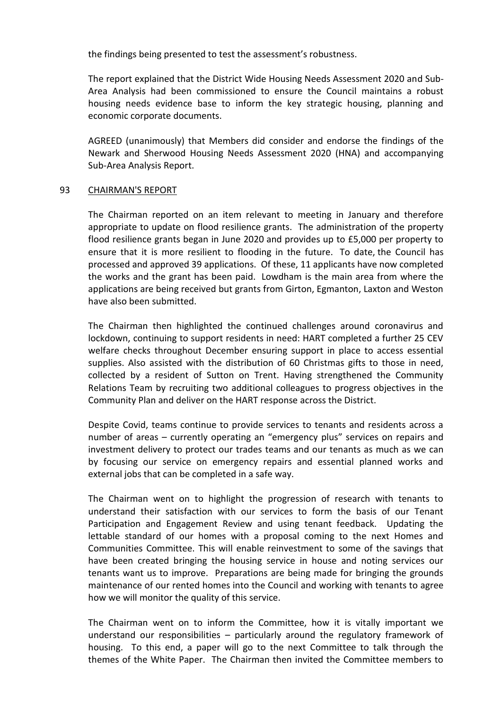the findings being presented to test the assessment's robustness.

The report explained that the District Wide Housing Needs Assessment 2020 and Sub-Area Analysis had been commissioned to ensure the Council maintains a robust housing needs evidence base to inform the key strategic housing, planning and economic corporate documents.

AGREED (unanimously) that Members did consider and endorse the findings of the Newark and Sherwood Housing Needs Assessment 2020 (HNA) and accompanying Sub-Area Analysis Report.

### 93 CHAIRMAN'S REPORT

The Chairman reported on an item relevant to meeting in January and therefore appropriate to update on flood resilience grants. The administration of the property flood resilience grants began in June 2020 and provides up to £5,000 per property to ensure that it is more resilient to flooding in the future. To date, the Council has processed and approved 39 applications. Of these, 11 applicants have now completed the works and the grant has been paid. Lowdham is the main area from where the applications are being received but grants from Girton, Egmanton, Laxton and Weston have also been submitted.

The Chairman then highlighted the continued challenges around coronavirus and lockdown, continuing to support residents in need: HART completed a further 25 CEV welfare checks throughout December ensuring support in place to access essential supplies. Also assisted with the distribution of 60 Christmas gifts to those in need, collected by a resident of Sutton on Trent. Having strengthened the Community Relations Team by recruiting two additional colleagues to progress objectives in the Community Plan and deliver on the HART response across the District.

Despite Covid, teams continue to provide services to tenants and residents across a number of areas – currently operating an "emergency plus" services on repairs and investment delivery to protect our trades teams and our tenants as much as we can by focusing our service on emergency repairs and essential planned works and external jobs that can be completed in a safe way.

The Chairman went on to highlight the progression of research with tenants to understand their satisfaction with our services to form the basis of our Tenant Participation and Engagement Review and using tenant feedback. Updating the lettable standard of our homes with a proposal coming to the next Homes and Communities Committee. This will enable reinvestment to some of the savings that have been created bringing the housing service in house and noting services our tenants want us to improve. Preparations are being made for bringing the grounds maintenance of our rented homes into the Council and working with tenants to agree how we will monitor the quality of this service.

The Chairman went on to inform the Committee, how it is vitally important we understand our responsibilities – particularly around the regulatory framework of housing. To this end, a paper will go to the next Committee to talk through the themes of the White Paper. The Chairman then invited the Committee members to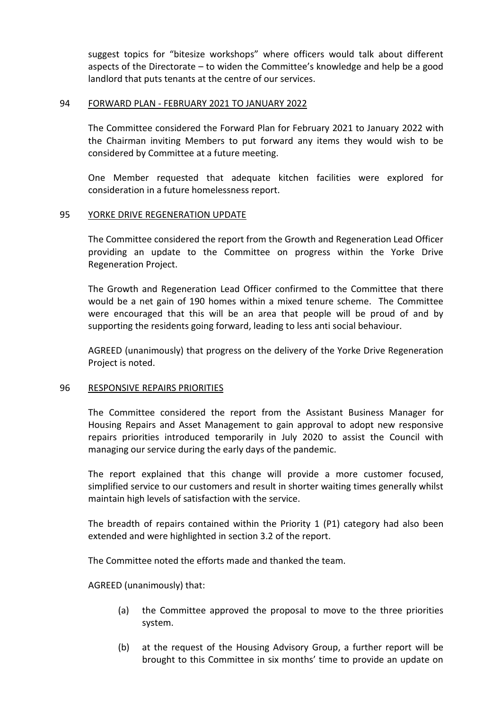suggest topics for "bitesize workshops" where officers would talk about different aspects of the Directorate – to widen the Committee's knowledge and help be a good landlord that puts tenants at the centre of our services.

## 94 FORWARD PLAN - FEBRUARY 2021 TO JANUARY 2022

The Committee considered the Forward Plan for February 2021 to January 2022 with the Chairman inviting Members to put forward any items they would wish to be considered by Committee at a future meeting.

One Member requested that adequate kitchen facilities were explored for consideration in a future homelessness report.

### 95 YORKE DRIVE REGENERATION UPDATE

The Committee considered the report from the Growth and Regeneration Lead Officer providing an update to the Committee on progress within the Yorke Drive Regeneration Project.

The Growth and Regeneration Lead Officer confirmed to the Committee that there would be a net gain of 190 homes within a mixed tenure scheme. The Committee were encouraged that this will be an area that people will be proud of and by supporting the residents going forward, leading to less anti social behaviour.

AGREED (unanimously) that progress on the delivery of the Yorke Drive Regeneration Project is noted.

#### 96 RESPONSIVE REPAIRS PRIORITIES

The Committee considered the report from the Assistant Business Manager for Housing Repairs and Asset Management to gain approval to adopt new responsive repairs priorities introduced temporarily in July 2020 to assist the Council with managing our service during the early days of the pandemic.

The report explained that this change will provide a more customer focused, simplified service to our customers and result in shorter waiting times generally whilst maintain high levels of satisfaction with the service.

The breadth of repairs contained within the Priority 1 (P1) category had also been extended and were highlighted in section 3.2 of the report.

The Committee noted the efforts made and thanked the team.

AGREED (unanimously) that:

- (a) the Committee approved the proposal to move to the three priorities system.
- (b) at the request of the Housing Advisory Group, a further report will be brought to this Committee in six months' time to provide an update on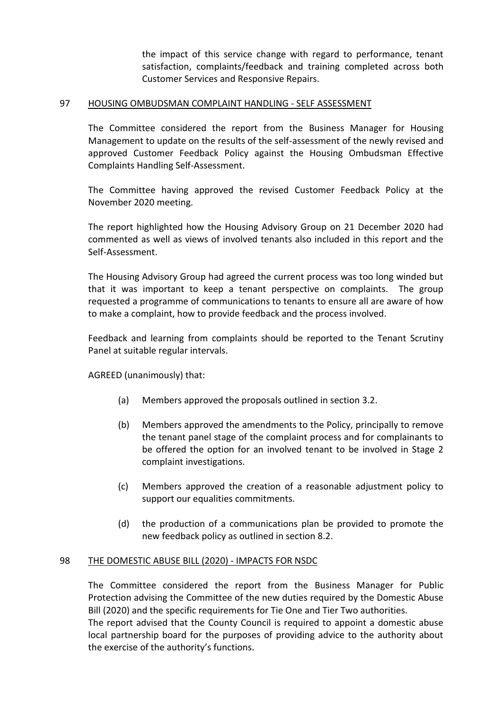the impact of this service change with regard to performance, tenant satisfaction, complaints/feedback and training completed across both Customer Services and Responsive Repairs.

# 97 HOUSING OMBUDSMAN COMPLAINT HANDLING - SELF ASSESSMENT

The Committee considered the report from the Business Manager for Housing Management to update on the results of the self-assessment of the newly revised and approved Customer Feedback Policy against the Housing Ombudsman Effective Complaints Handling Self-Assessment.

The Committee having approved the revised Customer Feedback Policy at the November 2020 meeting.

The report highlighted how the Housing Advisory Group on 21 December 2020 had commented as well as views of involved tenants also included in this report and the Self-Assessment.

The Housing Advisory Group had agreed the current process was too long winded but that it was important to keep a tenant perspective on complaints. The group requested a programme of communications to tenants to ensure all are aware of how to make a complaint, how to provide feedback and the process involved.

Feedback and learning from complaints should be reported to the Tenant Scrutiny Panel at suitable regular intervals.

AGREED (unanimously) that:

- (a) Members approved the proposals outlined in section 3.2.
- (b) Members approved the amendments to the Policy, principally to remove the tenant panel stage of the complaint process and for complainants to be offered the option for an involved tenant to be involved in Stage 2 complaint investigations.
- (c) Members approved the creation of a reasonable adjustment policy to support our equalities commitments.
- (d) the production of a communications plan be provided to promote the new feedback policy as outlined in section 8.2.

# 98 THE DOMESTIC ABUSE BILL (2020) - IMPACTS FOR NSDC

The Committee considered the report from the Business Manager for Public Protection advising the Committee of the new duties required by the Domestic Abuse Bill (2020) and the specific requirements for Tie One and Tier Two authorities.

The report advised that the County Council is required to appoint a domestic abuse local partnership board for the purposes of providing advice to the authority about the exercise of the authority's functions.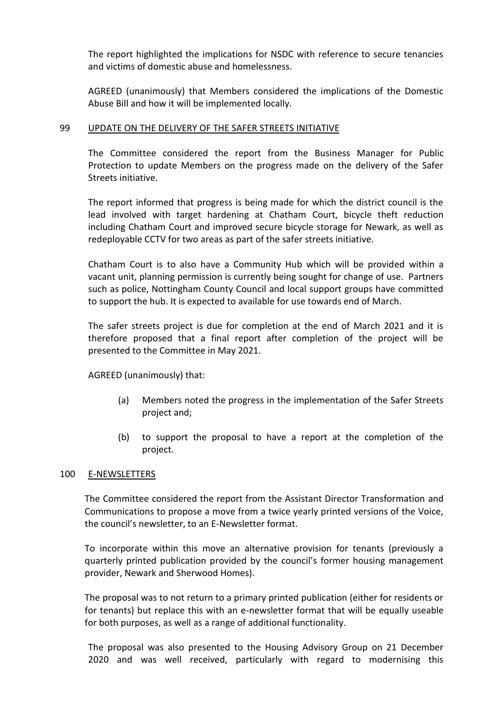The report highlighted the implications for NSDC with reference to secure tenancies and victims of domestic abuse and homelessness.

AGREED (unanimously) that Members considered the implications of the Domestic Abuse Bill and how it will be implemented locally.

## 99 UPDATE ON THE DELIVERY OF THE SAFER STREETS INITIATIVE

The Committee considered the report from the Business Manager for Public Protection to update Members on the progress made on the delivery of the Safer Streets initiative.

The report informed that progress is being made for which the district council is the lead involved with target hardening at Chatham Court, bicycle theft reduction including Chatham Court and improved secure bicycle storage for Newark, as well as redeployable CCTV for two areas as part of the safer streets initiative.

Chatham Court is to also have a Community Hub which will be provided within a vacant unit, planning permission is currently being sought for change of use. Partners such as police, Nottingham County Council and local support groups have committed to support the hub. It is expected to available for use towards end of March.

The safer streets project is due for completion at the end of March 2021 and it is therefore proposed that a final report after completion of the project will be presented to the Committee in May 2021.

AGREED (unanimously) that:

- (a) Members noted the progress in the implementation of the Safer Streets project and;
- (b) to support the proposal to have a report at the completion of the project.

# 100 E-NEWSLETTERS

The Committee considered the report from the Assistant Director Transformation and Communications to propose a move from a twice yearly printed versions of the Voice, the council's newsletter, to an E-Newsletter format.

To incorporate within this move an alternative provision for tenants (previously a quarterly printed publication provided by the council's former housing management provider, Newark and Sherwood Homes).

The proposal was to not return to a primary printed publication (either for residents or for tenants) but replace this with an e-newsletter format that will be equally useable for both purposes, as well as a range of additional functionality.

The proposal was also presented to the Housing Advisory Group on 21 December 2020 and was well received, particularly with regard to modernising this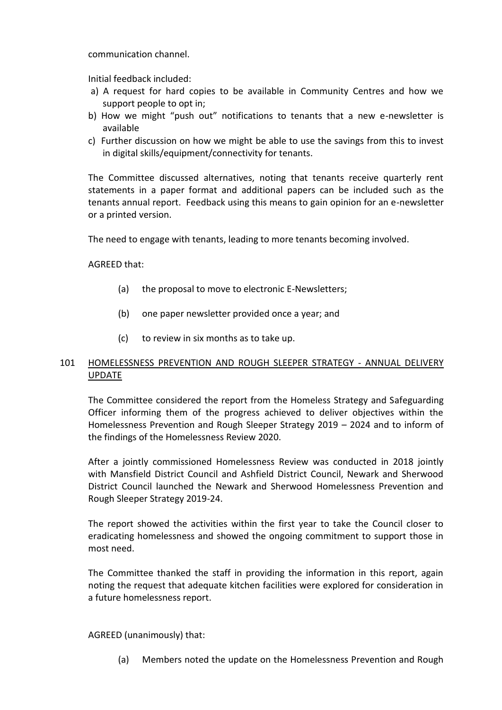communication channel.

Initial feedback included:

- a) A request for hard copies to be available in Community Centres and how we support people to opt in;
- b) How we might "push out" notifications to tenants that a new e-newsletter is available
- c) Further discussion on how we might be able to use the savings from this to invest in digital skills/equipment/connectivity for tenants.

The Committee discussed alternatives, noting that tenants receive quarterly rent statements in a paper format and additional papers can be included such as the tenants annual report. Feedback using this means to gain opinion for an e-newsletter or a printed version.

The need to engage with tenants, leading to more tenants becoming involved.

AGREED that:

- (a) the proposal to move to electronic E-Newsletters;
- (b) one paper newsletter provided once a year; and
- (c) to review in six months as to take up.

# 101 HOMELESSNESS PREVENTION AND ROUGH SLEEPER STRATEGY - ANNUAL DELIVERY UPDATE

The Committee considered the report from the Homeless Strategy and Safeguarding Officer informing them of the progress achieved to deliver objectives within the Homelessness Prevention and Rough Sleeper Strategy 2019 – 2024 and to inform of the findings of the Homelessness Review 2020.

After a jointly commissioned Homelessness Review was conducted in 2018 jointly with Mansfield District Council and Ashfield District Council, Newark and Sherwood District Council launched the Newark and Sherwood Homelessness Prevention and Rough Sleeper Strategy 2019-24.

The report showed the activities within the first year to take the Council closer to eradicating homelessness and showed the ongoing commitment to support those in most need.

The Committee thanked the staff in providing the information in this report, again noting the request that adequate kitchen facilities were explored for consideration in a future homelessness report.

AGREED (unanimously) that:

(a) Members noted the update on the Homelessness Prevention and Rough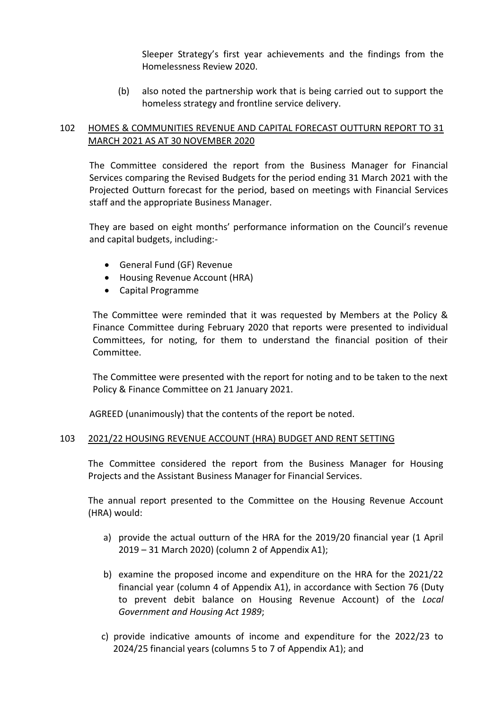Sleeper Strategy's first year achievements and the findings from the Homelessness Review 2020.

(b) also noted the partnership work that is being carried out to support the homeless strategy and frontline service delivery.

# 102 HOMES & COMMUNITIES REVENUE AND CAPITAL FORECAST OUTTURN REPORT TO 31 MARCH 2021 AS AT 30 NOVEMBER 2020

The Committee considered the report from the Business Manager for Financial Services comparing the Revised Budgets for the period ending 31 March 2021 with the Projected Outturn forecast for the period, based on meetings with Financial Services staff and the appropriate Business Manager.

They are based on eight months' performance information on the Council's revenue and capital budgets, including:-

- General Fund (GF) Revenue
- Housing Revenue Account (HRA)
- Capital Programme

The Committee were reminded that it was requested by Members at the Policy & Finance Committee during February 2020 that reports were presented to individual Committees, for noting, for them to understand the financial position of their Committee.

The Committee were presented with the report for noting and to be taken to the next Policy & Finance Committee on 21 January 2021.

AGREED (unanimously) that the contents of the report be noted.

# 103 2021/22 HOUSING REVENUE ACCOUNT (HRA) BUDGET AND RENT SETTING

The Committee considered the report from the Business Manager for Housing Projects and the Assistant Business Manager for Financial Services.

The annual report presented to the Committee on the Housing Revenue Account (HRA) would:

- a) provide the actual outturn of the HRA for the 2019/20 financial year (1 April 2019 – 31 March 2020) (column 2 of Appendix A1);
- b) examine the proposed income and expenditure on the HRA for the 2021/22 financial year (column 4 of Appendix A1), in accordance with Section 76 (Duty to prevent debit balance on Housing Revenue Account) of the *Local Government and Housing Act 1989*;
- c) provide indicative amounts of income and expenditure for the 2022/23 to 2024/25 financial years (columns 5 to 7 of Appendix A1); and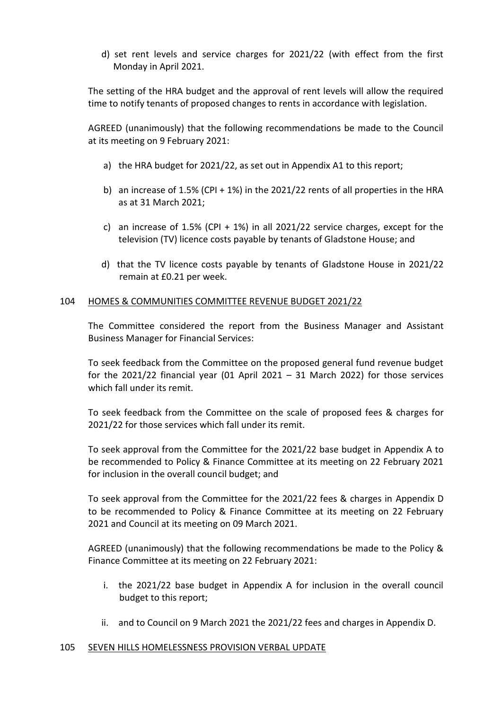d) set rent levels and service charges for 2021/22 (with effect from the first Monday in April 2021.

The setting of the HRA budget and the approval of rent levels will allow the required time to notify tenants of proposed changes to rents in accordance with legislation.

AGREED (unanimously) that the following recommendations be made to the Council at its meeting on 9 February 2021:

- a) the HRA budget for 2021/22, as set out in Appendix A1 to this report;
- b) an increase of 1.5% (CPI + 1%) in the 2021/22 rents of all properties in the HRA as at 31 March 2021;
- c) an increase of 1.5% (CPI + 1%) in all 2021/22 service charges, except for the television (TV) licence costs payable by tenants of Gladstone House; and
- d) that the TV licence costs payable by tenants of Gladstone House in 2021/22 remain at £0.21 per week.

# 104 HOMES & COMMUNITIES COMMITTEE REVENUE BUDGET 2021/22

The Committee considered the report from the Business Manager and Assistant Business Manager for Financial Services:

To seek feedback from the Committee on the proposed general fund revenue budget for the 2021/22 financial year (01 April 2021 – 31 March 2022) for those services which fall under its remit.

To seek feedback from the Committee on the scale of proposed fees & charges for 2021/22 for those services which fall under its remit.

To seek approval from the Committee for the 2021/22 base budget in Appendix A to be recommended to Policy & Finance Committee at its meeting on 22 February 2021 for inclusion in the overall council budget; and

To seek approval from the Committee for the 2021/22 fees & charges in Appendix D to be recommended to Policy & Finance Committee at its meeting on 22 February 2021 and Council at its meeting on 09 March 2021.

AGREED (unanimously) that the following recommendations be made to the Policy & Finance Committee at its meeting on 22 February 2021:

- i. the 2021/22 base budget in Appendix A for inclusion in the overall council budget to this report;
- ii. and to Council on 9 March 2021 the 2021/22 fees and charges in Appendix D.

# 105 SEVEN HILLS HOMELESSNESS PROVISION VERBAL UPDATE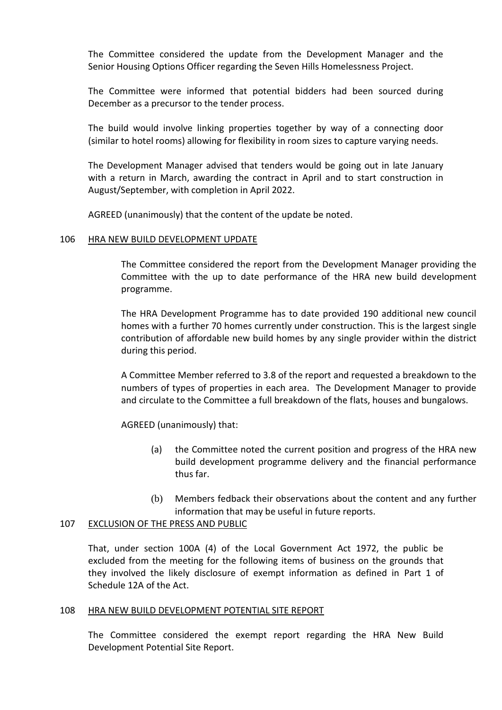The Committee considered the update from the Development Manager and the Senior Housing Options Officer regarding the Seven Hills Homelessness Project.

The Committee were informed that potential bidders had been sourced during December as a precursor to the tender process.

The build would involve linking properties together by way of a connecting door (similar to hotel rooms) allowing for flexibility in room sizes to capture varying needs.

The Development Manager advised that tenders would be going out in late January with a return in March, awarding the contract in April and to start construction in August/September, with completion in April 2022.

AGREED (unanimously) that the content of the update be noted.

#### 106 HRA NEW BUILD DEVELOPMENT UPDATE

The Committee considered the report from the Development Manager providing the Committee with the up to date performance of the HRA new build development programme.

The HRA Development Programme has to date provided 190 additional new council homes with a further 70 homes currently under construction. This is the largest single contribution of affordable new build homes by any single provider within the district during this period.

A Committee Member referred to 3.8 of the report and requested a breakdown to the numbers of types of properties in each area. The Development Manager to provide and circulate to the Committee a full breakdown of the flats, houses and bungalows.

AGREED (unanimously) that:

- (a) the Committee noted the current position and progress of the HRA new build development programme delivery and the financial performance thus far.
- (b) Members fedback their observations about the content and any further information that may be useful in future reports.

# 107 EXCLUSION OF THE PRESS AND PUBLIC

That, under section 100A (4) of the Local Government Act 1972, the public be excluded from the meeting for the following items of business on the grounds that they involved the likely disclosure of exempt information as defined in Part 1 of Schedule 12A of the Act.

#### 108 HRA NEW BUILD DEVELOPMENT POTENTIAL SITE REPORT

The Committee considered the exempt report regarding the HRA New Build Development Potential Site Report.